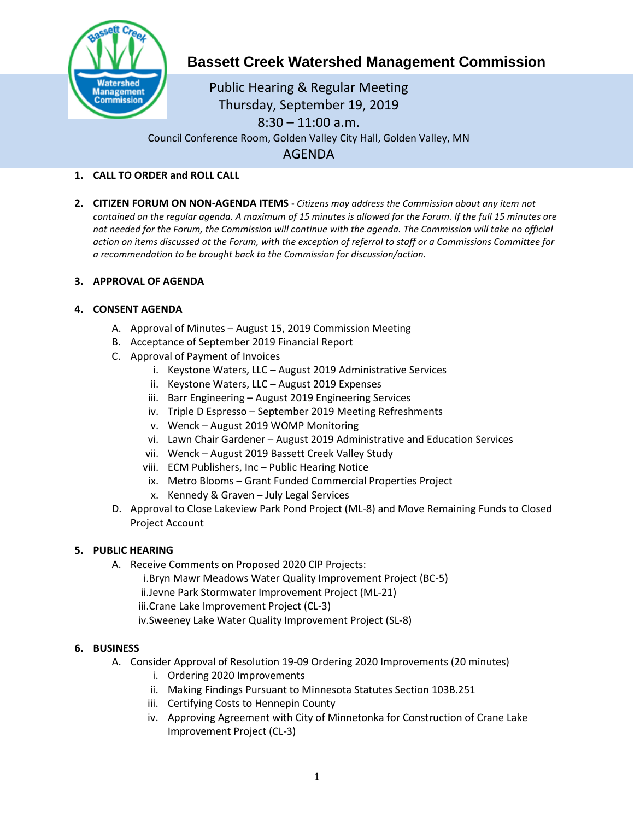

# **Bassett Creek Watershed Management Commission**

Public Hearing & Regular Meeting Thursday, September 19, 2019  $8:30 - 11:00$  a.m. Council Conference Room, Golden Valley City Hall, Golden Valley, MN AGENDA

## **1. CALL TO ORDER and ROLL CALL**

**2. CITIZEN FORUM ON NON-AGENDA ITEMS -** *Citizens may address the Commission about any item not contained on the regular agenda. A maximum of 15 minutes is allowed for the Forum. If the full 15 minutes are*  not needed for the Forum, the Commission will continue with the agenda. The Commission will take no official *action on items discussed at the Forum, with the exception of referral to staff or a Commissions Committee for a recommendation to be brought back to the Commission for discussion/action.*

#### **3. APPROVAL OF AGENDA**

#### **4. CONSENT AGENDA**

- A. Approval of Minutes August 15, 2019 Commission Meeting
- B. Acceptance of September 2019 Financial Report
- C. Approval of Payment of Invoices
	- i. Keystone Waters, LLC August 2019 Administrative Services
	- ii. Keystone Waters, LLC August 2019 Expenses
	- iii. Barr Engineering August 2019 Engineering Services
	- iv. Triple D Espresso September 2019 Meeting Refreshments
	- v. Wenck August 2019 WOMP Monitoring
	- vi. Lawn Chair Gardener August 2019 Administrative and Education Services
	- vii. Wenck August 2019 Bassett Creek Valley Study
	- viii. ECM Publishers, Inc Public Hearing Notice
	- ix. Metro Blooms Grant Funded Commercial Properties Project
	- x. Kennedy & Graven July Legal Services
- D. Approval to Close Lakeview Park Pond Project (ML-8) and Move Remaining Funds to Closed Project Account

#### **5. PUBLIC HEARING**

- A. Receive Comments on Proposed 2020 CIP Projects:
	- i.Bryn Mawr Meadows Water Quality Improvement Project (BC-5)
	- ii.Jevne Park Stormwater Improvement Project (ML-21)
	- iii.Crane Lake Improvement Project (CL-3)
	- iv.Sweeney Lake Water Quality Improvement Project (SL-8)

#### **6. BUSINESS**

- A. Consider Approval of Resolution 19-09 Ordering 2020 Improvements (20 minutes)
	- i. Ordering 2020 Improvements
	- ii. Making Findings Pursuant to Minnesota Statutes Section 103B.251
	- iii. Certifying Costs to Hennepin County
	- iv. Approving Agreement with City of Minnetonka for Construction of Crane Lake Improvement Project (CL-3)